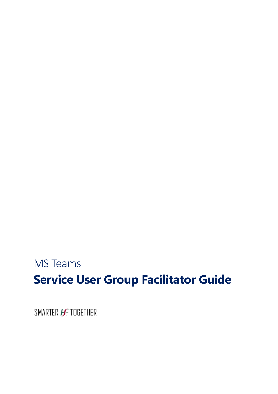# MS Teams **Service User Group Facilitator Guide**

SMARTER **HE** TOGETHER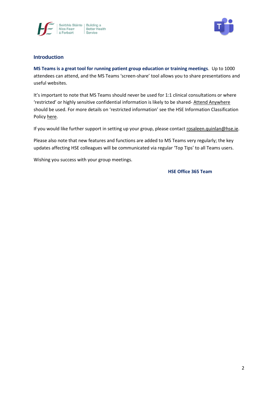



# **Introduction**

**MS Teams is a great tool for running patient group education or training meetings**. Up to 1000 attendees can attend, and the MS Teams 'screen-share' tool allows you to share presentations and useful websites.

It's important to note that MS Teams should never be used for 1:1 clinical consultations or where 'restricted' or highly sensitive confidential information is likely to be shared- [Attend Anywhere](https://www.ehealthireland.ie/national-virtual-health-team/attend-anywhere/) should be used. For more details on 'restricted information' see the HSE Information Classification Polic[y here.](https://www.hse.ie/eng/services/publications/pp/ict/information-classification-handling-policy.pdf)

If you would like further support in setting up your group, please contac[t rosaleen.quinlan@hse.ie.](mailto:rosaleen.quinlan@hse.ie)

Please also note that new features and functions are added to MS Teams very regularly; the key updates affecting HSE colleagues will be communicated via regular 'Top Tips' to all Teams users.

Wishing you success with your group meetings.

**HSE Office 365 Team**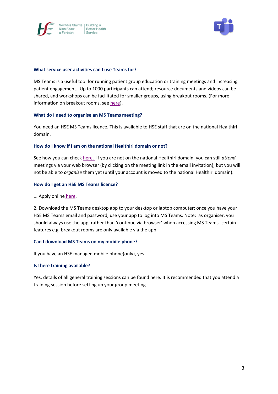



## **What service user activities can I use Teams for?**

MS Teams is a useful tool for running patient group education or training meetings and increasing patient engagement. Up to 1000 participants can attend; resource documents and videos can be shared, and workshops can be facilitated for smaller groups, using breakout rooms. (For more information on breakout rooms, see [here\)](https://www.ehealthireland.ie/ms-teams-for-hse-staff/support-and-resources/).

## **What do I need to organise an MS Teams meeting?**

You need an HSE MS Teams licence. This is available to HSE staff that are on the national HealthIrl domain.

## **How do I know if I am on the national HealthIrl domain or not?**

See how you can chec[k here.](https://www.ehealthireland.ie/ms-teams-for-hse-staff/) If you are not on the national HealthIrl domain, you can still *attend*  meetings via your web browser (by clicking on the meeting link in the email invitation), but you will not be able to *organise* them yet (until your account is moved to the national HealthIrl domain).

## **How do I get an HSE MS Teams licence?**

1. Apply online [here.](https://nsdselfservice.healthirl.net/SelfService.BridgeIT#dashboard/id=400a0cf6-dd3a-45aa-9727-01a4b8c7f531)

2. Download the MS Teams desktop app to your desktop or laptop computer; once you have your HSE MS Teams email and password, use your app to log into MS Teams. Note: as organiser, you should always use the app, rather than 'continue via browser' when accessing MS Teams- certain features e.g. breakout rooms are only available via the app.

### **Can I download MS Teams on my mobile phone?**

If you have an HSE managed mobile phone(only), yes.

### **Is there training available?**

Yes, details of all general training sessions can be found [here.](https://www.ehealthireland.ie/ms-teams-for-hse-staff/) It is recommended that you attend a training session before setting up your group meeting.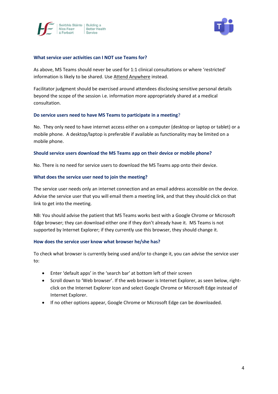



## **What service user activities can I NOT use Teams for?**

As above, MS Teams should never be used for 1:1 clinical consultations or where 'restricted' information is likely to be shared. Use [Attend Anywhere](https://www.ehealthireland.ie/national-virtual-health-team/attend-anywhere/) instead.

Facilitator judgment should be exercised around attendees disclosing sensitive personal details beyond the scope of the session i.e. information more appropriately shared at a medical consultation.

## **Do service users need to have MS Teams to participate in a meeting**?

No. They only need to have internet access either on a computer (desktop or laptop or tablet) or a mobile phone. A desktop/laptop is preferable if available as functionality may be limited on a mobile phone.

## **Should service users download the MS Teams app on their device or mobile phone?**

No. There is no need for service users to download the MS Teams app onto their device.

## **What does the service user need to join the meeting?**

The service user needs only an internet connection and an email address accessible on the device. Advise the service user that you will email them a meeting link, and that they should click on that link to get into the meeting.

NB: You should advise the patient that MS Teams works best with a Google Chrome or Microsoft Edge browser; they can download either one if they don't already have it. MS Teams is not supported by Internet Explorer; if they currently use this browser, they should change it.

### **How does the service user know what browser he/she has?**

To check what browser is currently being used and/or to change it, you can advise the service user to:

- Enter 'default apps' in the 'search bar' at bottom left of their screen
- Scroll down to 'Web browser'. If the web browser is Internet Explorer, as seen below, rightclick on the Internet Explorer Icon and select Google Chrome or Microsoft Edge instead of Internet Explorer.
- If no other options appear, Google Chrome or Microsoft Edge can be downloaded.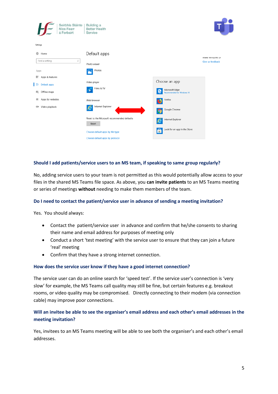|          | Seirbhís Sláinte  <br>Níos Fearr<br>á Forbairt | Building a<br><b>Better Health</b><br>Service        |                                                          |                     |
|----------|------------------------------------------------|------------------------------------------------------|----------------------------------------------------------|---------------------|
| Settings |                                                |                                                      |                                                          |                     |
| త        | Home                                           | Default apps                                         |                                                          | IVIDAC VEHICLOWS US |
|          | Find a setting<br>₽                            | Photo viewer                                         |                                                          | Give us feedback    |
| Apps     |                                                | Photos<br>h.                                         |                                                          |                     |
| 巨        | Apps & features                                |                                                      |                                                          |                     |
|          | <b>E</b> Default apps                          | Video player                                         | Choose an app                                            |                     |
|          | (叮 Offline maps                                | Films & TV<br>ь                                      | Microsoft Edge<br>е<br><b>Recommended for Windows 10</b> |                     |
| $\Box$   | Apps for websites                              | Web browser                                          | Firefox<br>B                                             |                     |
| ū        | Video playback                                 | Internet Explorer<br>e                               | Google Chrome<br>q                                       |                     |
|          |                                                | Reset to the Microsoft recommended defaults<br>Reset | Internet Explorer<br>$\epsilon$                          |                     |
|          |                                                | Choose default apps by file type                     | Look for an app in the Store<br>â                        |                     |
|          |                                                | Choose default apps by protocol                      |                                                          |                     |

# **Should I add patients/service users to an MS team, if speaking to same group regularly?**

No, adding service users to your team is not permitted as this would potentially allow access to your files in the shared MS Teams file space. As above, you **can invite patients** to an MS Teams meeting or series of meetings **without** needing to make them members of the team.

## **Do I need to contact the patient/service user in advance of sending a meeting invitation?**

Yes. You should always:

- Contact the patient/service user in advance and confirm that he/she consents to sharing their name and email address for purposes of meeting only
- Conduct a short 'test meeting' with the service user to ensure that they can join a future 'real' meeting
- Confirm that they have a strong internet connection.

### **How does the service user know if they have a good internet connection?**

The service user can do an online search for 'speed test'. If the service user's connection is 'very slow' for example, the MS Teams call quality may still be fine, but certain features e.g. breakout rooms, or video quality may be compromised. Directly connecting to their modem (via connection cable) may improve poor connections.

# **Will an invitee be able to see the organiser's email address and each other's email addresses in the meeting invitation?**

Yes, invitees to an MS Teams meeting will be able to see both the organiser's and each other's email addresses.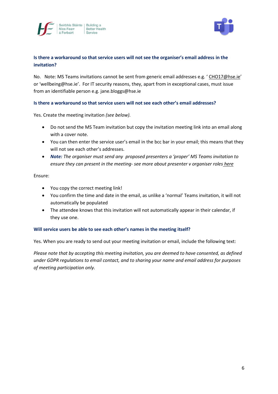



# **Is there a workaround so that service users will not see the organiser's email address in the invitation?**

No. Note: MS Teams invitations cannot be sent from generic email addresses e.g. '[CHO17@hse.ie](mailto:CHO17@hse.ie)' or 'wellbeing@hse.ie'. For IT security reasons, they, apart from in exceptional cases, must issue from an identifiable person e.g. jane.bloggs@hse.ie

# **Is there a workaround so that service users will not see each other's email addresses?**

Yes. Create the meeting invitation *(see below).* 

- Do not send the MS Team invitation but copy the invitation meeting link into an email along with a cover note.
- You can then enter the service user's email in the bcc bar in your email; this means that they will not see each other's addresses.
- *Note: The organiser must send any proposed presenters a 'proper' MS Teams invitation to ensure they can present in the meeting- see more about presenter v organiser roles [here](https://www.ehealthireland.ie/ms-teams-for-hse-staff/organiser-and-presenter-roles.pdf)*

## Ensure:

- You copy the correct meeting link!
- You confirm the time and date in the email, as unlike a 'normal' Teams invitation, it will not automatically be populated
- The attendee knows that this invitation will not automatically appear in their calendar, if they use one.

## **Will service users be able to see each other's names in the meeting itself?**

Yes. When you are ready to send out your meeting invitation or email, include the following text:

*Please note that by accepting this meeting invitation, you are deemed to have consented, as defined under GDPR regulations to email contact, and to sharing your name and email address for purposes of meeting participation only.*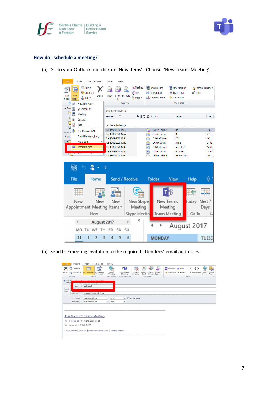



## **How do I schedule a meeting?**

(a) Go to your Outlook and click on 'New Items'. Choose 'New Teams Meeting'



(a) Send the meeting invitation to the required attendees' email addresses.

| E.<br>Appointment Scheduling<br><b>Join Teams</b><br>Skype<br>Delete<br>Forward -<br>Check Response<br>- Recurrence<br>Cancel<br>Address<br>lime<br>Reminder: 15 minutes<br>Assistant<br>Meeting<br>Meeting<br>Book Names Options -<br>Invitation<br>Zones<br>Finder<br>Options<br>Show<br>Skype Meeting Teams Meeting<br>Attendees<br>Actions<br>Adjace<br><b>ENGINEERING AREA ENGINEERING DE CARDIAL ANGELIA ENGINEERING ANGELIA ENGINEERING ENGINEERING ENGINEERING ENGINEERING</b><br>joe.bloggs<br>To<br>Microsoft Teams Meeting<br>Location:<br>Start time:<br>Wed 16/09/2020<br>All day event<br>09:00<br>$\star$<br>٠ |
|-------------------------------------------------------------------------------------------------------------------------------------------------------------------------------------------------------------------------------------------------------------------------------------------------------------------------------------------------------------------------------------------------------------------------------------------------------------------------------------------------------------------------------------------------------------------------------------------------------------------------------|
| <b>O</b> Invitatio<br>$=1$<br>Send                                                                                                                                                                                                                                                                                                                                                                                                                                                                                                                                                                                            |
|                                                                                                                                                                                                                                                                                                                                                                                                                                                                                                                                                                                                                               |
|                                                                                                                                                                                                                                                                                                                                                                                                                                                                                                                                                                                                                               |
|                                                                                                                                                                                                                                                                                                                                                                                                                                                                                                                                                                                                                               |
|                                                                                                                                                                                                                                                                                                                                                                                                                                                                                                                                                                                                                               |
|                                                                                                                                                                                                                                                                                                                                                                                                                                                                                                                                                                                                                               |
|                                                                                                                                                                                                                                                                                                                                                                                                                                                                                                                                                                                                                               |
|                                                                                                                                                                                                                                                                                                                                                                                                                                                                                                                                                                                                                               |
| Wed 16/09/2020<br>End time:<br>09:30<br>۰<br>$\scriptstyle\star$                                                                                                                                                                                                                                                                                                                                                                                                                                                                                                                                                              |
|                                                                                                                                                                                                                                                                                                                                                                                                                                                                                                                                                                                                                               |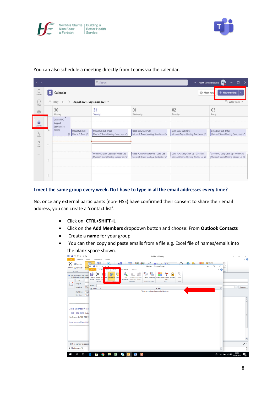



| $\langle \rangle$          |                |                                      |                                             | Q Search                                                                                 |                                                                                          | $\cdots$                                                                              | Ō<br><b>Health Service Executive RO.</b><br>×                                 |  |  |
|----------------------------|----------------|--------------------------------------|---------------------------------------------|------------------------------------------------------------------------------------------|------------------------------------------------------------------------------------------|---------------------------------------------------------------------------------------|-------------------------------------------------------------------------------|--|--|
| $\mathbb Q$<br>Activity    | $\overline{a}$ | Calendar                             |                                             | On Meet now<br>New meeting<br>$\ddot{}$                                                  |                                                                                          |                                                                                       |                                                                               |  |  |
| $\bigodot$<br>Chat         |                | □ Today                              |                                             | August 2021 - September 2021 $\vee$                                                      |                                                                                          |                                                                                       | $\Box$ Work week $\lor$                                                       |  |  |
| ෯                          |                | 30<br>Monday<br>www.ununniyu         |                                             | 31<br>Tuesday                                                                            | 01<br>Wednesday                                                                          | 02<br>Thursday                                                                        | 03<br>Friday                                                                  |  |  |
| ē<br>Calendar              |                | Online POC<br>Support<br>Sean Lennon |                                             |                                                                                          |                                                                                          |                                                                                       |                                                                               |  |  |
| $\mathcal{C}$<br>Calls     | 10             | 703272                               | O365 Daily Call<br>Microsoft Team $\oslash$ | O365 Daily Call (POC)<br>Microsoft Teams Meeting Sean Lenne C                            | O365 Daily Call (POC)<br>Microsoft Teams Meeting Sean Lenn: C                            | O365 Daily Call (POC)<br>Microsoft Teams Meeting Sean Lenn<br>C                       | O365 Daily Call (POC)<br>Microsoft Teams Meeting Sean Lenn C                  |  |  |
| $\fbox{Fig.} \label{eq:2}$ | 11             |                                      |                                             |                                                                                          |                                                                                          |                                                                                       |                                                                               |  |  |
|                            | 12             |                                      |                                             | O365 POC: Daily Catch Up - O365 CoE<br>Microsoft Teams Meeting Alastair Lot $\vec{\phi}$ | O365 POC: Daily Catch Up - O365 CoE<br>Microsoft Teams Meeting Alastair Lo: $\vec{\phi}$ | O365 POC: Daily Catch Up - O365 CoE<br>Microsoft Teams Meeting Alastair Lor $\oslash$ | O365 POC: Daily Catch Up - O365 CoE<br>Microsoft Teams Meeting Alastair Lor Ø |  |  |
|                            |                |                                      |                                             |                                                                                          |                                                                                          |                                                                                       |                                                                               |  |  |
|                            | 13             |                                      |                                             |                                                                                          |                                                                                          |                                                                                       |                                                                               |  |  |

You can also schedule a meeting directly from Teams via the calendar.

## **I meet the same group every week. Do I have to type in all the email addresses every time?**

No, once any external participants (non- HSE) have confirmed their consent to share their email address, you can create a 'contact list'.

- Click on: **CTRL+SHIFT+L**
- Click on the **Add Members** dropdown button and choose: From **Outlook Contacts**
- Create a **name** for your group
- You can then copy and paste emails from a file e.g. Excel file of names/emails into the blank space shown.

|      | MT.<br><b>CH</b><br>$\triangle$    | $\Psi$ $\psi$ | Untitled - Meeting                                                                                                                                                             | o<br>$\times$                                                                                |
|------|------------------------------------|---------------|--------------------------------------------------------------------------------------------------------------------------------------------------------------------------------|----------------------------------------------------------------------------------------------|
| File | Meeting                            | Insert        | Format Text<br>Review                                                                                                                                                          | $\circ$ 0                                                                                    |
|      | <b>Calendar</b>                    |               | Private<br><b>PANT</b><br>88 89<br>$\bigcirc$ .<br>rf i<br>⊜<br>$\mathbb{R}^m$<br>ര<br>$\Omega$<br><b>Existing Show Act Collision</b> Busy                                     |                                                                                              |
|      | Delete <b>B</b> Forward *          |               | Appо 53 1 м <sup>17</sup><br>$0 + v =$<br>Untitled - Contact Group<br>$\Box$<br>×<br>$\overline{\phantom{0}}$<br>nom                                                           |                                                                                              |
|      | Actions                            |               | $\circ$ $\circ$<br>File<br>Conta<br>ormat Text<br>Review<br>proup<br>Insert<br>oom                                                                                             |                                                                                              |
|      | <b>O</b> Invitations have not been |               | g.<br>$a_{\overline{m}}$<br>$\mathfrak{B}$<br>ы<br>Шü                                                                                                                          |                                                                                              |
|      | Conflicts with another app<br>To   |               | Save & Delete For<br>E-mail Meeting<br>rd<br>Members Not<br>Add<br>Remove Update<br>Categorize Follow Private<br>Zoom<br>Close Group Gri<br>h.<br>Members * Member Now<br>Up + |                                                                                              |
| Ð    | Subject:                           |               | Actions<br><b>Members</b><br>Communicate<br>Tags<br>Zoom                                                                                                                       |                                                                                              |
| Send | Location:                          | Micro         | Name:                                                                                                                                                                          | Rooms<br>$\sim$                                                                              |
|      |                                    |               | <b>D</b> Name<br><b>College</b><br>E-mail<br>l al                                                                                                                              |                                                                                              |
|      | Start time:                        | Wed           | There are no items to show in this view.                                                                                                                                       |                                                                                              |
|      | End time:                          | Wed           |                                                                                                                                                                                |                                                                                              |
|      |                                    |               |                                                                                                                                                                                | $\frac{1}{2}$                                                                                |
|      |                                    |               |                                                                                                                                                                                |                                                                                              |
|      |                                    |               |                                                                                                                                                                                |                                                                                              |
|      | Join Microsoft Te                  |               |                                                                                                                                                                                |                                                                                              |
|      | +353 1 592 3510 Irelan             |               |                                                                                                                                                                                |                                                                                              |
|      | Conference ID: 466 933 0           |               |                                                                                                                                                                                |                                                                                              |
|      |                                    |               |                                                                                                                                                                                |                                                                                              |
|      | Local numbers   Reset PIN          |               |                                                                                                                                                                                |                                                                                              |
|      |                                    |               |                                                                                                                                                                                |                                                                                              |
|      |                                    |               |                                                                                                                                                                                |                                                                                              |
|      |                                    |               |                                                                                                                                                                                |                                                                                              |
|      |                                    |               |                                                                                                                                                                                |                                                                                              |
|      |                                    |               |                                                                                                                                                                                |                                                                                              |
|      | Click on a photo to see soci       |               |                                                                                                                                                                                | マニ                                                                                           |
|      | All Attendees (1)                  |               | ٠                                                                                                                                                                              | $\hat{\phantom{a}}$                                                                          |
|      |                                    |               |                                                                                                                                                                                | $\checkmark$                                                                                 |
| Ŧ    | $\varphi$<br>$\Box$                |               | ÷<br>e<br>Ķ<br>G.<br>Pa<br>W.<br>M<br><b>IQ</b>                                                                                                                                | $R^R \sim 100 \approx 10^{10}$ $(10^{10})$ $(16/10)$<br>$\overline{\mathbf{z}}_{\mathbf{R}}$ |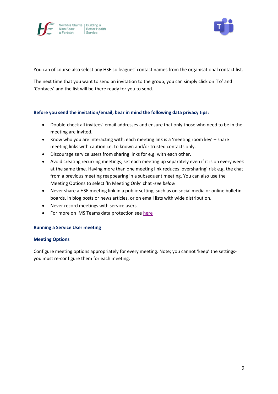



You can of course also select any HSE colleagues' contact names from the organisational contact list.

The next time that you want to send an invitation to the group, you can simply click on 'To' and 'Contacts' and the list will be there ready for you to send.

# **Before you send the invitation/email, bear in mind the following data privacy tips:**

- Double-check all invitees' email addresses and ensure that only those who need to be in the meeting are invited.
- Know who you are interacting with; each meeting link is a 'meeting room key' share meeting links with caution i.e. to known and/or trusted contacts only.
- Discourage service users from sharing links for e.g. with each other.
- Avoid creating recurring meetings; set each meeting up separately even if it is on every week at the same time. Having more than one meeting link reduces 'oversharing' risk e.g. the chat from a previous meeting reappearing in a subsequent meeting. You can also use the Meeting Options to select 'In Meeting Only' chat -*see below*
- Never share a HSE meeting link in a public setting, such as on social media or online bulletin boards, in blog posts or news articles, or on email lists with wide distribution.
- Never record meetings with service users
- For more on MS Teams data protection see [here](https://www.ehealthireland.ie/ms-teams-for-hse-staff/support-and-resources/)

## **Running a Service User meeting**

## **Meeting Options**

Configure meeting options appropriately for every meeting. Note; you cannot 'keep' the settingsyou must re-configure them for each meeting.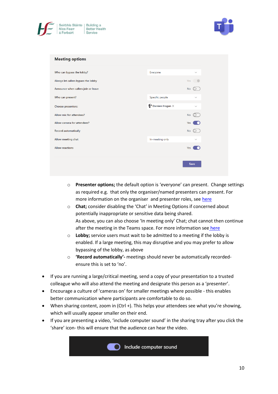



| <b>Meeting options</b>              |                                   |              |  |
|-------------------------------------|-----------------------------------|--------------|--|
| Who can bypass the lobby?           | Everyone                          | $\checkmark$ |  |
| Always let callers bypass the lobby |                                   | Yes <b>C</b> |  |
| Announce when callers join or leave |                                   | <b>No</b>    |  |
| Who can present?                    | Specific people                   | $\checkmark$ |  |
| Choose presenters:                  | $\bigoplus$ Damien Hogan $\times$ | $\checkmark$ |  |
| Allow mic for attendees?            |                                   | <b>No</b>    |  |
| Allow camera for attendees?         |                                   | Yes          |  |
| <b>Record automatically</b>         |                                   | <b>No</b>    |  |
| Allow meeting chat                  | In-meeting only                   | $\checkmark$ |  |
| <b>Allow reactions</b>              |                                   | Yes          |  |
|                                     |                                   |              |  |
|                                     |                                   | Save         |  |

- o **Presenter options;** the default option is 'everyone' can present. Change settings as required e.g. that only the organiser/named presenters can present. For more information on the organiser and presenter roles, see [here](https://www.ehealthireland.ie/MS-Teams-for-HSE-Staff/Top-Tips/)
- o **Chat;** consider disabling the 'Chat' in Meeting Options if concerned about potentially inappropriate or sensitive data being shared. As above, you can also choose 'In meeting only' Chat; chat cannot then continue after the meeting in the Teams space. For more information see [here](https://www.ehealthireland.ie/MS-Teams-for-HSE-Staff/Top-Tips/)
- o **Lobby;** service users must wait to be admitted to a meeting if the lobby is enabled. If a large meeting, this may disruptive and you may prefer to allow bypassing of the lobby, as above
- o **'Record automatically'-** meetings should never be automatically recordedensure this is set to 'no'.
- If you are running a large/critical meeting, send a copy of your presentation to a trusted colleague who will also attend the meeting and designate this person as a 'presenter'.
- Encourage a culture of 'cameras on' for smaller meetings where possible this enables better communication where participants are comfortable to do so.
- When sharing content, zoom in (Ctrl +). This helps your attendees see what you're showing, which will usually appear smaller on their end.
- If you are presenting a video, 'include computer sound' in the sharing tray after you click the 'share' icon- this will ensure that the audience can hear the video.